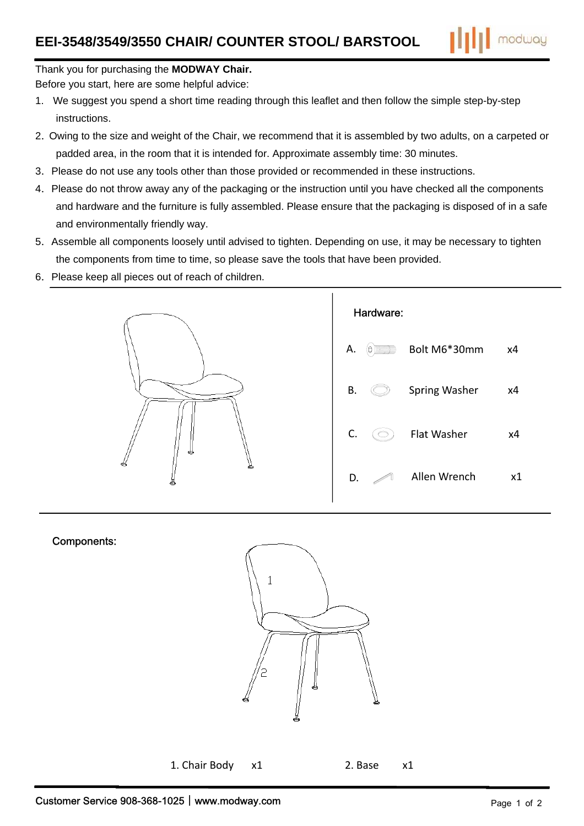

## Thank you for purchasing the MODWAY Chair.

Before you start, here are some helpful advice:

- 1. We suggest you spend a short time reading through this leaflet and then follow the simple step-by-step instructions.
- 2. Owing to the size and weight of the Chair, we recommend that it is assembled by two adults, on a carpeted or padded area, in the room that it is intended for. Approximate assembly time: 30 minutes.
- 3. Please do not use any tools other than those provided or recommended in these instructions.
- 4. Please do not throw away any of the packaging or the instruction until you have checked all the components and hardware and the furniture is fully assembled. Please ensure that the packaging is disposed of in a safe and environmentally friendly way.
- 5. Assemble all components loosely until advised to tighten. Depending on use, it may be necessary to tighten the components from time to time, so please save the tools that have been provided.
- 6. Please keep all pieces out of reach of children.



## Components:



1. Chair Body  $x1$ 2. Base

 $x1$